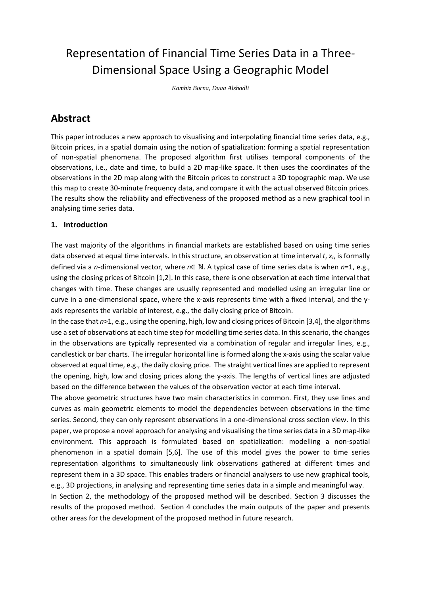# Representation of Financial Time Series Data in a Three-Dimensional Space Using a Geographic Model

*Kambiz Borna, Duaa Alshadli*

## **Abstract**

This paper introduces a new approach to visualising and interpolating financial time series data, e.g., Bitcoin prices, in a spatial domain using the notion of spatialization: forming a spatial representation of non-spatial phenomena. The proposed algorithm first utilises temporal components of the observations, i.e., date and time, to build a 2D map-like space. It then uses the coordinates of the observations in the 2D map along with the Bitcoin prices to construct a 3D topographic map. We use this map to create 30-minute frequency data, and compare it with the actual observed Bitcoin prices. The results show the reliability and effectiveness of the proposed method as a new graphical tool in analysing time series data.

### **1. Introduction**

The vast majority of the algorithms in financial markets are established based on using time series data observed at equal time intervals. In this structure, an observation at time interval *t*, *xt*, is formally defined via a *n*-dimensional vector, where *n*∈ ℕ. A typical case of time series data is when *n*=1, e.g., using the closing prices of Bitcoin [1,2]. In this case, there is one observation at each time interval that changes with time. These changes are usually represented and modelled using an irregular line or curve in a one-dimensional space, where the x-axis represents time with a fixed interval, and the yaxis represents the variable of interest, e.g., the daily closing price of Bitcoin.

In the case that *n*>1, e.g., using the opening, high, low and closing prices of Bitcoin [3,4], the algorithms use a set of observations at each time step for modelling time series data. In this scenario, the changes in the observations are typically represented via a combination of regular and irregular lines, e.g., candlestick or bar charts. The irregular horizontal line is formed along the x-axis using the scalar value observed at equal time, e.g., the daily closing price. The straight vertical lines are applied to represent the opening, high, low and closing prices along the y-axis. The lengths of vertical lines are adjusted based on the difference between the values of the observation vector at each time interval.

The above geometric structures have two main characteristics in common. First, they use lines and curves as main geometric elements to model the dependencies between observations in the time series. Second, they can only represent observations in a one-dimensional cross section view. In this paper, we propose a novel approach for analysing and visualising the time series data in a 3D map-like environment. This approach is formulated based on spatialization: modelling a non-spatial phenomenon in a spatial domain [5,6]. The use of this model gives the power to time series representation algorithms to simultaneously link observations gathered at different times and represent them in a 3D space. This enables traders or financial analysers to use new graphical tools, e.g., 3D projections, in analysing and representing time series data in a simple and meaningful way.

In Section 2, the methodology of the proposed method will be described. Section 3 discusses the results of the proposed method. Section 4 concludes the main outputs of the paper and presents other areas for the development of the proposed method in future research.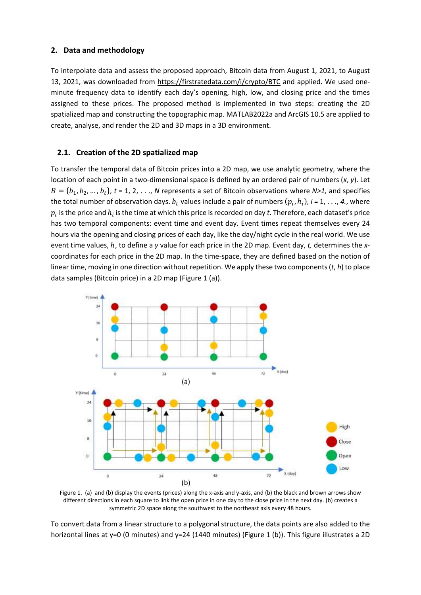#### **2. Data and methodology**

To interpolate data and assess the proposed approach, Bitcoin data from August 1, 2021, to August 13, 2021, was downloaded from<https://firstratedata.com/i/crypto/BTC> and applied. We used oneminute frequency data to identify each day's opening, high, low, and closing price and the times assigned to these prices. The proposed method is implemented in two steps: creating the 2D spatialized map and constructing the topographic map. MATLAB2022a and ArcGIS 10.5 are applied to create, analyse, and render the 2D and 3D maps in a 3D environment.

#### **2.1. Creation of the 2D spatialized map**

To transfer the temporal data of Bitcoin prices into a 2D map, we use analytic geometry, where the location of each point in a two-dimensional space is defined by an ordered pair of numbers (*x*, *y*). Let  $B = \{b_1, b_2, ..., b_t\}, t = 1, 2, ..., N$  represents a set of Bitcoin observations where  $N>1$ , and specifies the total number of observation days.  $b_t$  values include a pair of numbers  $(p_i, h_i)$ , *i* = 1, . . ., 4., where  $p_i$  is the price and  $h_i$  is the time at which this price is recorded on day  $t.$  Therefore, each dataset's price has two temporal components: event time and event day. Event times repeat themselves every 24 hours via the opening and closing prices of each day, like the day/night cycle in the real world. We use event time values, ℎ, to define a *y* value for each price in the 2D map. Event day, *t,* determines the *x*coordinates for each price in the 2D map. In the time-space, they are defined based on the notion of linear time, moving in one direction without repetition. We apply these two components(*t*, *h*) to place data samples (Bitcoin price) in a 2D map (Figure 1 (a)).



Figure 1. (a) and (b) display the events (prices) along the x-axis and y-axis, and (b) the black and brown arrows show different directions in each square to link the open price in one day to the close price in the next day. (b) creates a symmetric 2D space along the southwest to the northeast axis every 48 hours.

To convert data from a linear structure to a polygonal structure, the data points are also added to the horizontal lines at y=0 (0 minutes) and y=24 (1440 minutes) (Figure 1 (b)). This figure illustrates a 2D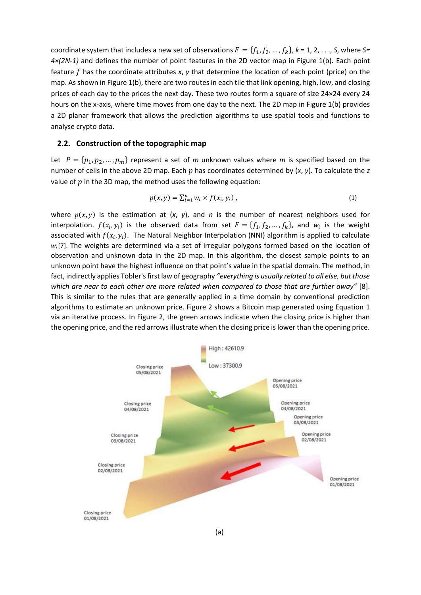coordinate system that includes a new set of observations  $F = \{f_1, f_2, ..., f_k\}, k = 1, 2, ..., S$ , where S= *4×(2N-1)* and defines the number of point features in the 2D vector map in Figure 1(b). Each point feature  $f$  has the coordinate attributes  $x$ ,  $y$  that determine the location of each point (price) on the map. As shown in Figure 1(b), there are two routes in each tile that link opening, high, low, and closing prices of each day to the prices the next day. These two routes form a square of size 24×24 every 24 hours on the x-axis, where time moves from one day to the next. The 2D map in Figure 1(b) provides a 2D planar framework that allows the prediction algorithms to use spatial tools and functions to analyse crypto data.

#### **2.2. Construction of the topographic map**

Let  $P = \{p_1, p_2, ..., p_m\}$  represent a set of *m* unknown values where *m* is specified based on the number of cells in the above 2D map. Each  $p$  has coordinates determined by  $(x, y)$ . To calculate the  $z$ value of  $p$  in the 3D map, the method uses the following equation:

$$
p(x, y) = \sum_{i=1}^{n} w_i \times f(x_i, y_i) \tag{1}
$$

where  $p(x, y)$  is the estimation at  $(x, y)$ , and *n* is the number of nearest neighbors used for interpolation.  $f(x_i, y_i)$  is the observed data from set  $F = \{f_1, f_2, ..., f_k\}$ , and  $w_i$  is the weight associated with  $f(x_i, y_i)$ . The Natural Neighbor Interpolation (NNI) algorithm is applied to calculate  $w_i$ [7]. The weights are determined via a set of irregular polygons formed based on the location of observation and unknown data in the 2D map. In this algorithm, the closest sample points to an unknown point have the highest influence on that point's value in the spatial domain. The method, in fact, indirectly applies Tobler's first law of geography *"everything is usually related to all else, but those which are near to each other are more related when compared to those that are further away"* [8]. This is similar to the rules that are generally applied in a time domain by conventional prediction algorithms to estimate an unknown price. Figure 2 shows a Bitcoin map generated using Equation 1 via an iterative process. In Figure 2, the green arrows indicate when the closing price is higher than the opening price, and the red arrows illustrate when the closing price is lower than the opening price.

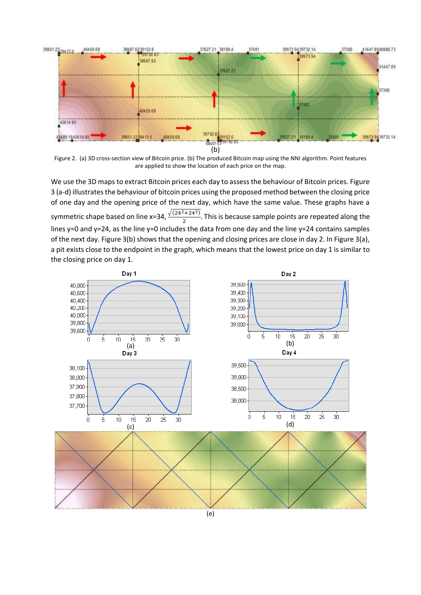

Figure 2. (a) 3D cross-section view of Bitcoin price. (b) The produced Bitcoin map using the NNI algorithm. Point features are applied to show the location of each price on the map.

We use the 3D maps to extract Bitcoin prices each day to assess the behaviour of Bitcoin prices. Figure 3 (a-d) illustrates the behaviour of bitcoin prices using the proposed method between the closing price of one day and the opening price of the next day, which have the same value. These graphs have a symmetric shape based on line x=34,  $\frac{\sqrt{(24^2+24^2)}}{2}$ . This is because sample points are repeated along the lines y=0 and y=24, as the line y=0 includes the data from one day and the line y=24 contains samples of the next day. Figure 3(b) shows that the opening and closing prices are close in day 2. In Figure 3(a), a pit exists close to the endpoint in the graph, which means that the lowest price on day 1 is similar to the closing price on day 1.

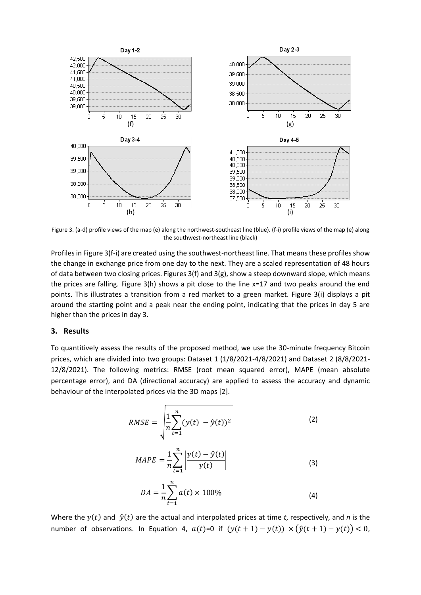

Figure 3. (a-d) profile views of the map (e) along the northwest-southeast line (blue). (f-i) profile views of the map (e) along the southwest-northeast line (black)

Profiles in Figure 3(f-i) are created using the southwest-northeast line. That means these profiles show the change in exchange price from one day to the next. They are a scaled representation of 48 hours of data between two closing prices. Figures 3(f) and 3(g), show a steep downward slope, which means the prices are falling. Figure 3(h) shows a pit close to the line x=17 and two peaks around the end points. This illustrates a transition from a red market to a green market. Figure 3(i) displays a pit around the starting point and a peak near the ending point, indicating that the prices in day 5 are higher than the prices in day 3.

#### **3. Results**

To quantitively assess the results of the proposed method, we use the 30-minute frequency Bitcoin prices, which are divided into two groups: Dataset 1 (1/8/2021-4/8/2021) and Dataset 2 (8/8/2021- 12/8/2021). The following metrics: RMSE (root mean squared error), MAPE (mean absolute percentage error), and DA (directional accuracy) are applied to assess the accuracy and dynamic behaviour of the interpolated prices via the 3D maps [2].

$$
RMSE = \sqrt{\frac{1}{n} \sum_{t=1}^{n} (y(t) - \hat{y}(t))^2}
$$
 (2)

$$
MAPE = \frac{1}{n} \sum_{t=1}^{n} \left| \frac{y(t) - \hat{y}(t)}{y(t)} \right|
$$
\n(3)

$$
DA = \frac{1}{n} \sum_{t=1}^{n} a(t) \times 100\%
$$
 (4)

Where the  $y(t)$  and  $\hat{y}(t)$  are the actual and interpolated prices at time *t*, respectively, and *n* is the number of observations. In Equation 4,  $a(t)=0$  if  $(y(t + 1) - y(t)) \times (\hat{y}(t + 1) - y(t)) < 0$ ,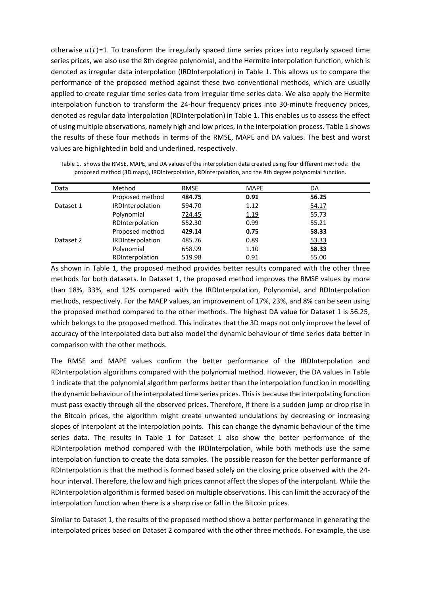otherwise  $a(t)=1$ . To transform the irregularly spaced time series prices into regularly spaced time series prices, we also use the 8th degree polynomial, and the Hermite interpolation function, which is denoted as irregular data interpolation (IRDInterpolation) in Table 1. This allows us to compare the performance of the proposed method against these two conventional methods, which are usually applied to create regular time series data from irregular time series data. We also apply the Hermite interpolation function to transform the 24-hour frequency prices into 30-minute frequency prices, denoted as regular data interpolation (RDInterpolation) in Table 1. This enables us to assess the effect of using multiple observations, namely high and low prices, in the interpolation process. Table 1 shows the results of these four methods in terms of the RMSE, MAPE and DA values. The best and worst values are highlighted in bold and underlined, respectively.

| Data      | Method                  | <b>RMSE</b> | <b>MAPE</b> | DA    |
|-----------|-------------------------|-------------|-------------|-------|
|           | Proposed method         | 484.75      | 0.91        | 56.25 |
| Dataset 1 | <b>IRDInterpolation</b> | 594.70      | 1.12        | 54.17 |
|           | Polynomial              | 724.45      | <u>1.19</u> | 55.73 |
|           | RDInterpolation         | 552.30      | 0.99        | 55.21 |
|           | Proposed method         | 429.14      | 0.75        | 58.33 |
| Dataset 2 | <b>IRDInterpolation</b> | 485.76      | 0.89        | 53.33 |
|           | Polynomial              | 658.99      | <u>1.10</u> | 58.33 |
|           | RDInterpolation         | 519.98      | 0.91        | 55.00 |

Table 1. shows the RMSE, MAPE, and DA values of the interpolation data created using four different methods: the proposed method (3D maps), IRDInterpolation, RDInterpolation, and the 8th degree polynomial function.

As shown in Table 1, the proposed method provides better results compared with the other three methods for both datasets. In Dataset 1, the proposed method improves the RMSE values by more than 18%, 33%, and 12% compared with the IRDInterpolation, Polynomial, and RDInterpolation methods, respectively. For the MAEP values, an improvement of 17%, 23%, and 8% can be seen using the proposed method compared to the other methods. The highest DA value for Dataset 1 is 56.25, which belongs to the proposed method. This indicates that the 3D maps not only improve the level of accuracy of the interpolated data but also model the dynamic behaviour of time series data better in comparison with the other methods.

The RMSE and MAPE values confirm the better performance of the IRDInterpolation and RDInterpolation algorithms compared with the polynomial method. However, the DA values in Table 1 indicate that the polynomial algorithm performs better than the interpolation function in modelling the dynamic behaviour of the interpolated time series prices. Thisis because the interpolating function must pass exactly through all the observed prices. Therefore, if there is a sudden jump or drop rise in the Bitcoin prices, the algorithm might create unwanted undulations by decreasing or increasing slopes of interpolant at the interpolation points. This can change the dynamic behaviour of the time series data. The results in Table 1 for Dataset 1 also show the better performance of the RDInterpolation method compared with the IRDInterpolation, while both methods use the same interpolation function to create the data samples. The possible reason for the better performance of RDInterpolation is that the method is formed based solely on the closing price observed with the 24 hour interval. Therefore, the low and high prices cannot affect the slopes of the interpolant. While the RDInterpolation algorithm is formed based on multiple observations. This can limit the accuracy of the interpolation function when there is a sharp rise or fall in the Bitcoin prices.

Similar to Dataset 1, the results of the proposed method show a better performance in generating the interpolated prices based on Dataset 2 compared with the other three methods. For example, the use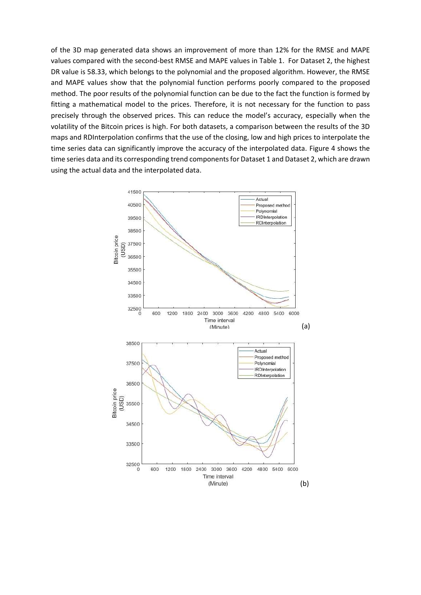of the 3D map generated data shows an improvement of more than 12% for the RMSE and MAPE values compared with the second-best RMSE and MAPE values in Table 1. For Dataset 2, the highest DR value is 58.33, which belongs to the polynomial and the proposed algorithm. However, the RMSE and MAPE values show that the polynomial function performs poorly compared to the proposed method. The poor results of the polynomial function can be due to the fact the function is formed by fitting a mathematical model to the prices. Therefore, it is not necessary for the function to pass precisely through the observed prices. This can reduce the model's accuracy, especially when the volatility of the Bitcoin prices is high. For both datasets, a comparison between the results of the 3D maps and RDInterpolation confirms that the use of the closing, low and high prices to interpolate the time series data can significantly improve the accuracy of the interpolated data. Figure 4 shows the time series data and its corresponding trend components for Dataset 1 and Dataset 2, which are drawn using the actual data and the interpolated data.

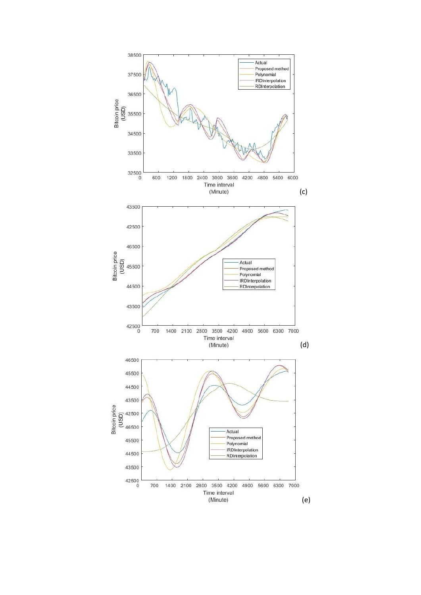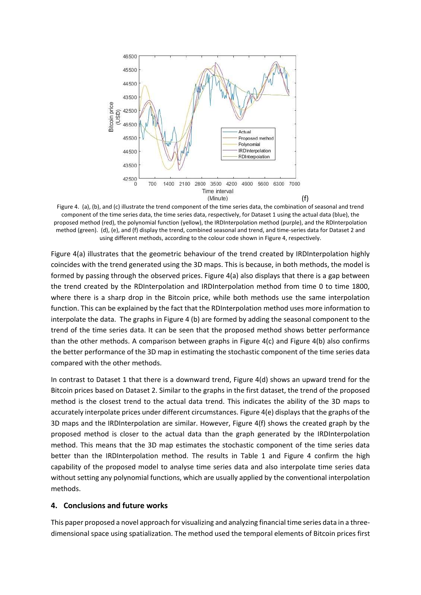

Figure 4. (a), (b), and (c) illustrate the trend component of the time series data, the combination of seasonal and trend component of the time series data, the time series data, respectively, for Dataset 1 using the actual data (blue), the proposed method (red), the polynomial function (yellow), the IRDInterpolation method (purple), and the RDInterpolation method (green). (d), (e), and (f) display the trend, combined seasonal and trend, and time-series data for Dataset 2 and using different methods, according to the colour code shown in Figure 4, respectively.

Figure 4(a) illustrates that the geometric behaviour of the trend created by IRDInterpolation highly coincides with the trend generated using the 3D maps. This is because, in both methods, the model is formed by passing through the observed prices. Figure 4(a) also displays that there is a gap between the trend created by the RDInterpolation and IRDInterpolation method from time 0 to time 1800, where there is a sharp drop in the Bitcoin price, while both methods use the same interpolation function. This can be explained by the fact that the RDInterpolation method uses more information to interpolate the data. The graphs in Figure 4 (b) are formed by adding the seasonal component to the trend of the time series data. It can be seen that the proposed method shows better performance than the other methods. A comparison between graphs in Figure 4(c) and Figure 4(b) also confirms the better performance of the 3D map in estimating the stochastic component of the time series data compared with the other methods.

In contrast to Dataset 1 that there is a downward trend, Figure 4(d) shows an upward trend for the Bitcoin prices based on Dataset 2. Similar to the graphs in the first dataset, the trend of the proposed method is the closest trend to the actual data trend. This indicates the ability of the 3D maps to accurately interpolate prices under different circumstances. Figure 4(e) displays that the graphs of the 3D maps and the IRDInterpolation are similar. However, Figure 4(f) shows the created graph by the proposed method is closer to the actual data than the graph generated by the IRDInterpolation method. This means that the 3D map estimates the stochastic component of the time series data better than the IRDInterpolation method. The results in Table 1 and Figure 4 confirm the high capability of the proposed model to analyse time series data and also interpolate time series data without setting any polynomial functions, which are usually applied by the conventional interpolation methods.

#### **4. Conclusions and future works**

This paper proposed a novel approach for visualizing and analyzing financial time series data in a threedimensional space using spatialization. The method used the temporal elements of Bitcoin prices first